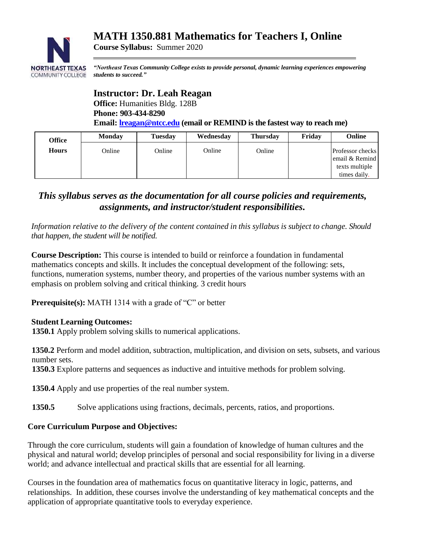# **MATH 1350.881 Mathematics for Teachers I, Online**



*"Northeast Texas Community College exists to provide personal, dynamic learning experiences empowering students to succeed."*

#### **Instructor: Dr. Leah Reagan Office:** Humanities Bldg. 128B

**Course Syllabus:** Summer 2020

**Phone: 903-434-8290**

**Email: [lreagan@ntcc.edu](mailto:lreagan@ntcc.edu) (email or REMIND is the fastest way to reach me)**

| Office       | <b>Monday</b> | Tuesday | Wednesday | <b>Thursday</b> | Friday | <b>Online</b>                                                        |
|--------------|---------------|---------|-----------|-----------------|--------|----------------------------------------------------------------------|
| <b>Hours</b> | Online        | Online  | Online    | Online          |        | Professor checks<br>email & Remind<br>texts multiple<br>times daily. |

# *This syllabus serves as the documentation for all course policies and requirements, assignments, and instructor/student responsibilities.*

*Information relative to the delivery of the content contained in this syllabus is subject to change. Should that happen, the student will be notified.*

**Course Description:** This course is intended to build or reinforce a foundation in fundamental mathematics concepts and skills. It includes the conceptual development of the following: sets, functions, numeration systems, number theory, and properties of the various number systems with an emphasis on problem solving and critical thinking. 3 credit hours

**Prerequisite(s):** MATH 1314 with a grade of "C" or better

#### **Student Learning Outcomes:**

**1350.1** Apply problem solving skills to numerical applications.

**1350.2** Perform and model addition, subtraction, multiplication, and division on sets, subsets, and various number sets.

 **1350.3** Explore patterns and sequences as inductive and intuitive methods for problem solving.

 **1350.4** Apply and use properties of the real number system.

**1350.5** Solve applications using fractions, decimals, percents, ratios, and proportions.

#### **Core Curriculum Purpose and Objectives:**

Through the core curriculum, students will gain a foundation of knowledge of human cultures and the physical and natural world; develop principles of personal and social responsibility for living in a diverse world; and advance intellectual and practical skills that are essential for all learning.

Courses in the foundation area of mathematics focus on quantitative literacy in logic, patterns, and relationships. In addition, these courses involve the understanding of key mathematical concepts and the application of appropriate quantitative tools to everyday experience.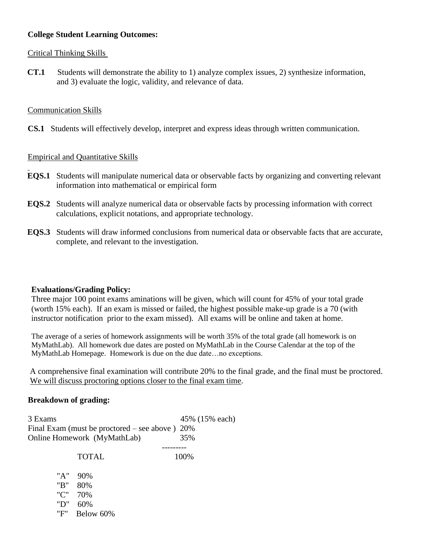### **College Student Learning Outcomes:**

#### Critical Thinking Skills

**CT.1** Students will demonstrate the ability to 1) analyze complex issues, 2) synthesize information, and 3) evaluate the logic, validity, and relevance of data.

### Communication Skills

**CS.1** Students will effectively develop, interpret and express ideas through written communication.

## Empirical and Quantitative Skills

- **EQS.1** Students will manipulate numerical data or observable facts by organizing and converting relevant information into mathematical or empirical form
- **EQS.2** Students will analyze numerical data or observable facts by processing information with correct calculations, explicit notations, and appropriate technology.
- **EQS.3** Students will draw informed conclusions from numerical data or observable facts that are accurate, complete, and relevant to the investigation.

#### **Evaluations/Grading Policy:**

Three major 100 point exams aminations will be given, which will count for 45% of your total grade (worth 15% each). If an exam is missed or failed, the highest possible make-up grade is a 70 (with instructor notification prior to the exam missed). All exams will be online and taken at home.

The average of a series of homework assignments will be worth 35% of the total grade (all homework is on MyMathLab). All homework due dates are posted on MyMathLab in the Course Calendar at the top of the MyMathLab Homepage. Homework is due on the due date…no exceptions.

A comprehensive final examination will contribute 20% to the final grade, and the final must be proctored. We will discuss proctoring options closer to the final exam time.

#### **Breakdown of grading:**

3 Exams 45% (15% each) Final Exam (must be proctored – see above ) 20% Online Homework (MyMathLab) 35% ---------

TOTAL 100%

| "A" | 90\%      |
|-----|-----------|
| "R" | 80%       |
| "י" | 70%       |
| "D" | 60%       |
| "F" | Below 60% |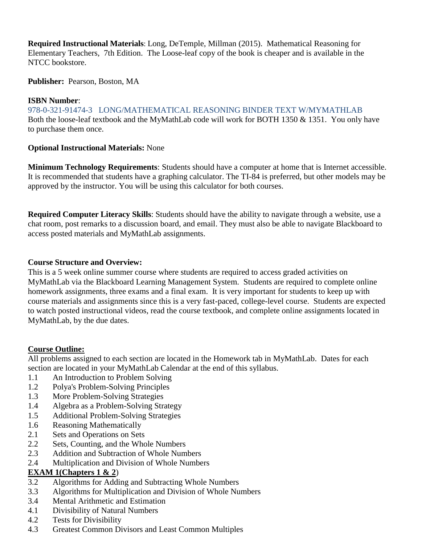**Required Instructional Materials**: Long, DeTemple, Millman (2015). Mathematical Reasoning for Elementary Teachers, 7th Edition. The Loose-leaf copy of the book is cheaper and is available in the NTCC bookstore.

**Publisher:** Pearson, Boston, MA

## **ISBN Number**:

978-0-321-91474-3 LONG/MATHEMATICAL REASONING BINDER TEXT W/MYMATHLAB Both the loose-leaf textbook and the MyMathLab code will work for BOTH 1350 & 1351. You only have to purchase them once.

## **Optional Instructional Materials:** None

**Minimum Technology Requirements**: Students should have a computer at home that is Internet accessible. It is recommended that students have a graphing calculator. The TI-84 is preferred, but other models may be approved by the instructor. You will be using this calculator for both courses.

**Required Computer Literacy Skills**: Students should have the ability to navigate through a website, use a chat room, post remarks to a discussion board, and email. They must also be able to navigate Blackboard to access posted materials and MyMathLab assignments.

#### **Course Structure and Overview:**

This is a 5 week online summer course where students are required to access graded activities on MyMathLab via the Blackboard Learning Management System. Students are required to complete online homework assignments, three exams and a final exam. It is very important for students to keep up with course materials and assignments since this is a very fast-paced, college-level course. Students are expected to watch posted instructional videos, read the course textbook, and complete online assignments located in MyMathLab, by the due dates.

## **Course Outline:**

All problems assigned to each section are located in the Homework tab in MyMathLab. Dates for each section are located in your MyMathLab Calendar at the end of this syllabus.

- 1.1 An Introduction to Problem Solving
- 1.2 Polya's Problem-Solving Principles
- 1.3 More Problem-Solving Strategies
- 1.4 Algebra as a Problem-Solving Strategy
- 1.5 Additional Problem-Solving Strategies
- 1.6 Reasoning Mathematically
- 2.1 Sets and Operations on Sets
- 2.2 Sets, Counting, and the Whole Numbers
- 2.3 Addition and Subtraction of Whole Numbers
- 2.4 Multiplication and Division of Whole Numbers

#### **EXAM 1(Chapters 1 & 2**)

- 3.2 Algorithms for Adding and Subtracting Whole Numbers
- 3.3 Algorithms for Multiplication and Division of Whole Numbers
- 3.4 Mental Arithmetic and Estimation
- 4.1 Divisibility of Natural Numbers
- 4.2 Tests for Divisibility
- 4.3 Greatest Common Divisors and Least Common Multiples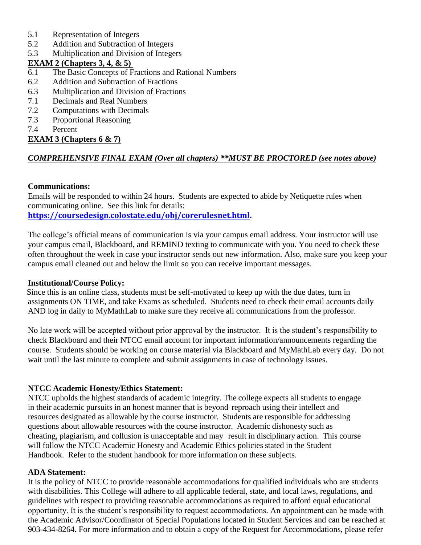- 5.1 Representation of Integers
- 5.2 Addition and Subtraction of Integers
- 5.3 Multiplication and Division of Integers

### **EXAM 2 (Chapters 3, 4, & 5)**

- 6.1 The Basic Concepts of Fractions and Rational Numbers
- 6.2 Addition and Subtraction of Fractions
- 6.3 Multiplication and Division of Fractions
- 7.1 Decimals and Real Numbers
- 7.2 Computations with Decimals
- 7.3 Proportional Reasoning
- 7.4 Percent

## **EXAM 3 (Chapters 6 & 7)**

## *COMPREHENSIVE FINAL EXAM (Over all chapters) \*\*MUST BE PROCTORED (see notes above)*

#### **Communications:**

Emails will be responded to within 24 hours. Students are expected to abide by Netiquette rules when communicating online. See this link for details: **[https://coursedesign.colostate.edu/obj/corerulesnet.html.](https://coursedesign.colostate.edu/obj/corerulesnet.html)**

The college's official means of communication is via your campus email address. Your instructor will use your campus email, Blackboard, and REMIND texting to communicate with you. You need to check these often throughout the week in case your instructor sends out new information. Also, make sure you keep your campus email cleaned out and below the limit so you can receive important messages.

#### **Institutional/Course Policy:**

Since this is an online class, students must be self-motivated to keep up with the due dates, turn in assignments ON TIME, and take Exams as scheduled. Students need to check their email accounts daily AND log in daily to MyMathLab to make sure they receive all communications from the professor.

No late work will be accepted without prior approval by the instructor. It is the student's responsibility to check Blackboard and their NTCC email account for important information/announcements regarding the course. Students should be working on course material via Blackboard and MyMathLab every day. Do not wait until the last minute to complete and submit assignments in case of technology issues.

#### **NTCC Academic Honesty/Ethics Statement:**

NTCC upholds the highest standards of academic integrity. The college expects all students to engage in their academic pursuits in an honest manner that is beyond reproach using their intellect and resources designated as allowable by the course instructor. Students are responsible for addressing questions about allowable resources with the course instructor. Academic dishonesty such as cheating, plagiarism, and collusion is unacceptable and may result in disciplinary action. This course will follow the NTCC Academic Honesty and Academic Ethics policies stated in the Student Handbook. Refer to the student handbook for more information on these subjects.

#### **ADA Statement:**

It is the policy of NTCC to provide reasonable accommodations for qualified individuals who are students with disabilities. This College will adhere to all applicable federal, state, and local laws, regulations, and guidelines with respect to providing reasonable accommodations as required to afford equal educational opportunity. It is the student's responsibility to request accommodations. An appointment can be made with the Academic Advisor/Coordinator of Special Populations located in Student Services and can be reached at 903-434-8264. For more information and to obtain a copy of the Request for Accommodations, please refer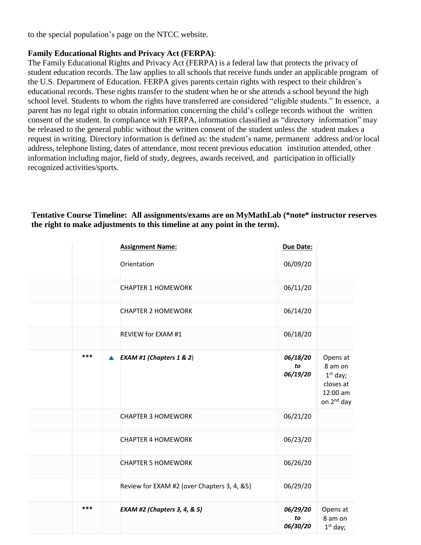to the special population's page on the NTCC websit[e.](http://www.ntcc.edu/index.php?module=Pagesetter&func=viewpub&tid=111&pid=1) 

### **Family Educational Rights and Privacy Act (FERPA)**:

The Family Educational Rights and Privacy Act (FERPA) is a federal law that protects the privacy of student education records. The law applies to all schools that receive funds under an applicable program of the U.S. Department of Education. FERPA gives parents certain rights with respect to their children's educational records. These rights transfer to the student when he or she attends a school beyond the high school level. Students to whom the rights have transferred are considered "eligible students." In essence, a parent has no legal right to obtain information concerning the child's college records without the written consent of the student. In compliance with FERPA, information classified as "directory information" may be released to the general public without the written consent of the student unless the student makes a request in writing. Directory information is defined as: the student's name, permanent address and/or local address, telephone listing, dates of attendance, most recent previous education institution attended, other information including major, field of study, degrees, awards received, and participation in officially recognized activities/sports.

|          | <b>Assignment Name:</b>                     | Due Date:                  |                                                                                      |
|----------|---------------------------------------------|----------------------------|--------------------------------------------------------------------------------------|
|          | Orientation                                 | 06/09/20                   |                                                                                      |
|          | <b>CHAPTER 1 HOMEWORK</b>                   | 06/11/20                   |                                                                                      |
|          | <b>CHAPTER 2 HOMEWORK</b>                   | 06/14/20                   |                                                                                      |
|          | REVIEW for EXAM #1                          | 06/18/20                   |                                                                                      |
| ***<br>▲ | <b>EXAM #1 (Chapters 1 &amp; 2)</b>         | 06/18/20<br>to<br>06/19/20 | Opens at<br>8 am on<br>$1st$ day;<br>closes at<br>12:00 am<br>on 2 <sup>nd</sup> day |
|          | <b>CHAPTER 3 HOMEWORK</b>                   | 06/21/20                   |                                                                                      |
|          | <b>CHAPTER 4 HOMEWORK</b>                   | 06/23/20                   |                                                                                      |
|          | <b>CHAPTER 5 HOMEWORK</b>                   | 06/26/20                   |                                                                                      |
|          | Review for EXAM #2 (over Chapters 3, 4, &5) | 06/29/20                   |                                                                                      |
| ***      | <b>EXAM #2 (Chapters 3, 4, &amp; 5)</b>     | 06/29/20<br>to<br>06/30/20 | Opens at<br>8 am on<br>$1st$ day;                                                    |

### **Tentative Course Timeline: All assignments/exams are on MyMathLab (\*note\* instructor reserves the right to make adjustments to this timeline at any point in the term).**